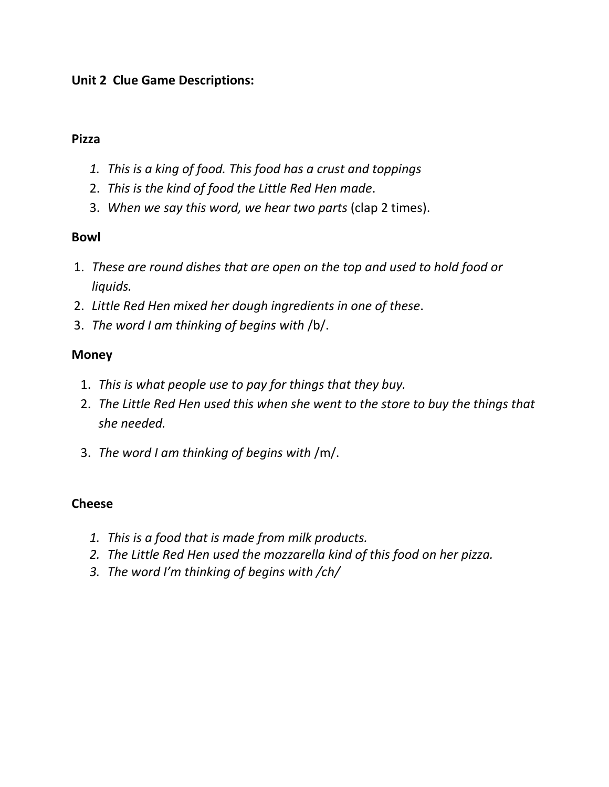### **Unit 2 Clue Game Descriptions:**

#### **Pizza**

- *1. This is a king of food. This food has a crust and toppings*
- 2. *This is the kind of food the Little Red Hen made*.
- 3. *When we say this word, we hear two parts* (clap 2 times).

### **Bowl**

- 1. *These are round dishes that are open on the top and used to hold food or liquids.*
- 2. *Little Red Hen mixed her dough ingredients in one of these*.
- 3. *The word I am thinking of begins with* /b/.

## **Money**

- 1. *This is what people use to pay for things that they buy.*
- 2. *The Little Red Hen used this when she went to the store to buy the things that she needed.*
- 3. *The word I am thinking of begins with* /m/.

## **Cheese**

- *1. This is a food that is made from milk products.*
- *2. The Little Red Hen used the mozzarella kind of this food on her pizza.*
- *3. The word I'm thinking of begins with /ch/*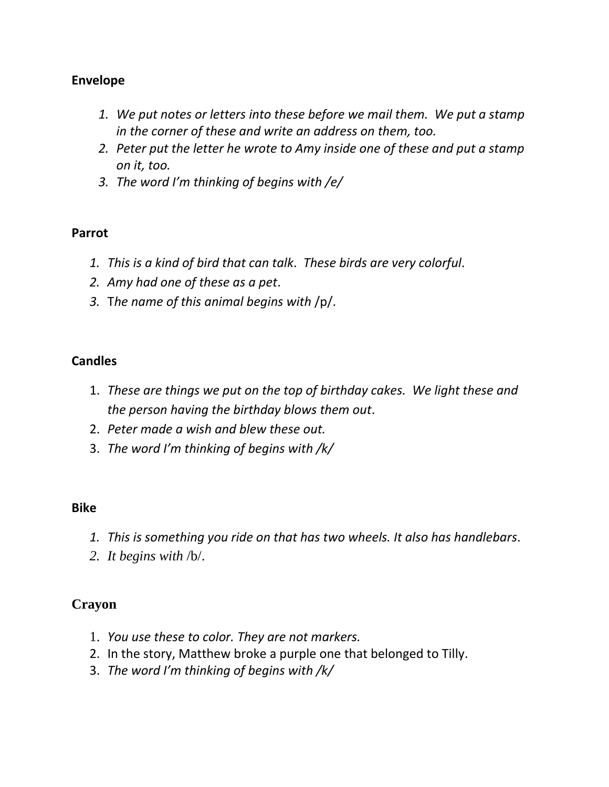### **Envelope**

- *1. We put notes or letters into these before we mail them. We put a stamp in the corner of these and write an address on them, too.*
- *2. Peter put the letter he wrote to Amy inside one of these and put a stamp on it, too.*
- *3. The word I'm thinking of begins with /e/*

#### **Parrot**

- *1. This is a kind of bird that can talk*. *These birds are very colorful*.
- *2. Amy had one of these as a pet*.
- *3.* T*he name of this animal begins with* /p/.

### **Candles**

- 1. *These are things we put on the top of birthday cakes. We light these and the person having the birthday blows them out*.
- 2. *Peter made a wish and blew these out.*
- 3. *The word I'm thinking of begins with /k/*

### **Bike**

- *1. This is something you ride on that has two wheels. It also has handlebars*.
- *2. It begins with* /b/.

### **Crayon**

- 1. *You use these to color. They are not markers.*
- 2. In the story, Matthew broke a purple one that belonged to Tilly.
- 3. *The word I'm thinking of begins with /k/*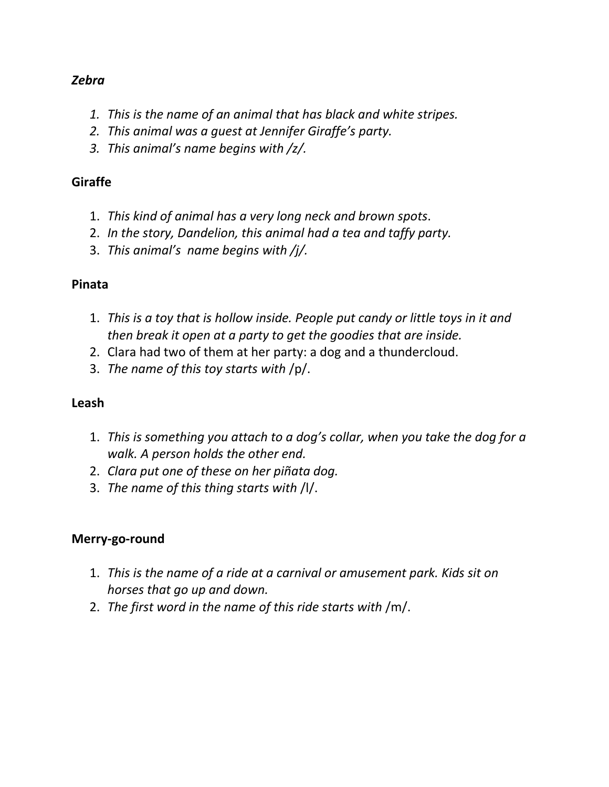#### *Zebra*

- *1. This is the name of an animal that has black and white stripes.*
- *2. This animal was a guest at Jennifer Giraffe's party.*
- *3. This animal's name begins with /z/.*

## **Giraffe**

- 1. *This kind of animal has a very long neck and brown spots*.
- 2. *In the story, Dandelion, this animal had a tea and taffy party.*
- 3. *This animal's name begins with /j/.*

### **Pinata**

- 1. *This is a toy that is hollow inside. People put candy or little toys in it and then break it open at a party to get the goodies that are inside.*
- 2. Clara had two of them at her party: a dog and a thundercloud.
- 3. *The name of this toy starts with* /p/.

### **Leash**

- 1. *This is something you attach to a dog's collar, when you take the dog for a walk. A person holds the other end.*
- 2. *Clara put one of these on her piñata dog.*
- 3. *The name of this thing starts with* /l/.

### **Merry-go-round**

- 1. *This is the name of a ride at a carnival or amusement park. Kids sit on horses that go up and down.*
- 2. *The first word in the name of this ride starts with* /m/.